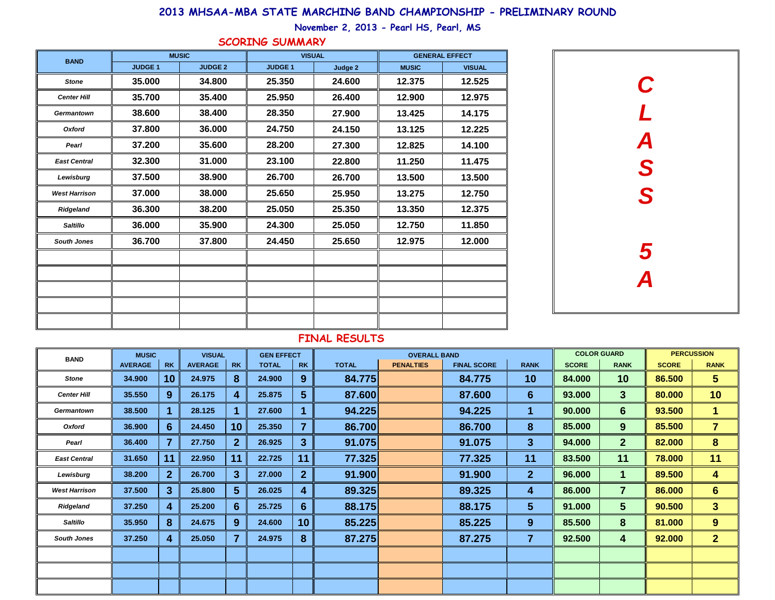| <b>BAND</b>          | <b>MUSIC</b>   |                         | <b>VISUAL</b>  |                  | <b>GEN EFFECT</b> |                  |              | <b>OVERALL BAND</b> |                    | <b>COLOR GUARD</b> |              | <b>PERCUSSION</b> |              |                         |
|----------------------|----------------|-------------------------|----------------|------------------|-------------------|------------------|--------------|---------------------|--------------------|--------------------|--------------|-------------------|--------------|-------------------------|
|                      | <b>AVERAGE</b> | <b>RK</b>               | <b>AVERAGE</b> | <b>RK</b>        | <b>TOTAL</b>      | <b>RK</b>        | <b>TOTAL</b> | <b>PENALTIES</b>    | <b>FINAL SCORE</b> | <b>RANK</b>        | <b>SCORE</b> | <b>RANK</b>       | <b>SCORE</b> | <b>RANK</b>             |
| <b>Stone</b>         | 34.900         | 10                      | 24.975         | 8                | 24.900            | 9                | 84.775       |                     | 84.775             | 10                 | 84.000       | 10                | 86.500       | 5 <sup>5</sup>          |
| <b>Center Hill</b>   | 35.550         | $9^{\circ}$             | 26.175         | 4                | 25.875            | $5\phantom{1}$   | 87.600       |                     | 87.600             | $6 \overline{6}$   | 93.000       | 3 <sup>5</sup>    | 80.000       | 10                      |
| <b>Germantown</b>    | 38.500         | п                       | 28.125         |                  | 27.600            |                  | 94.225       |                     | 94.225             | 1                  | 90.000       | $6 \overline{6}$  | 93.500       | $\mathbf 1$             |
| <b>Oxford</b>        | 36.900         | $6 \overline{6}$        | 24.450         | 10               | 25.350            | $\overline{7}$   | 86.700       |                     | 86.700             | 8                  | 85.000       | 9                 | 85.500       | $\overline{7}$          |
| Pearl                | 36.400         | $\overline{\mathbf{z}}$ | 27.750         | 2 <sup>2</sup>   | 26.925            | 3                | 91.075       |                     | 91.075             | 3 <sup>5</sup>     | 94.000       | 2 <sup>2</sup>    | 82.000       | 8                       |
| <b>East Central</b>  | 31.650         | 11                      | 22.950         | 11               | 22.725            | 11               | 77.325       |                     | 77.325             | 11                 | 83.500       | 11                | 78.000       | 11                      |
| Lewisburg            | 38.200         | 2 <sup>1</sup>          | 26.700         | 3 <sup>5</sup>   | 27.000            | $\overline{2}$   | 91.900       |                     | 91.900             | 2 <sup>1</sup>     | 96.000       | $\mathbf 1$       | 89.500       | $\overline{\mathbf{4}}$ |
| <b>West Harrison</b> | 37.500         | 3 <sup>5</sup>          | 25.800         | 5 <sup>1</sup>   | 26.025            | 4                | 89.325       |                     | 89.325             | 4                  | 86.000       | $\overline{7}$    | 86.000       | $6 \n$                  |
| <b>Ridgeland</b>     | 37.250         | 4                       | 25.200         | $6 \overline{6}$ | 25.725            | $6 \overline{6}$ | 88.175       |                     | 88.175             | 5 <sup>5</sup>     | 91.000       | 5 <sup>5</sup>    | 90.500       | 3 <sup>1</sup>          |
| <b>Saltillo</b>      | 35.950         | 8                       | 24.675         | 9                | 24.600            | 10 <sup>°</sup>  | 85.225       |                     | 85.225             | 9                  | 85.500       | 8                 | 81.000       | 9                       |
| <b>South Jones</b>   | 37.250         | 4                       | 25.050         | $\overline{7}$   | 24.975            | 8                | 87.275       |                     | 87.275             | $\overline{7}$     | 92.500       | 4                 | 92.000       | 2 <sup>1</sup>          |
|                      |                |                         |                |                  |                   |                  |              |                     |                    |                    |              |                   |              |                         |
|                      |                |                         |                |                  |                   |                  |              |                     |                    |                    |              |                   |              |                         |
|                      |                |                         |                |                  |                   |                  |              |                     |                    |                    |              |                   |              |                         |

| <b>BAND</b>          | <b>MUSIC</b>   |                | <b>VISUAL</b>  |         | <b>GENERAL EFFECT</b> |               |  |  |  |  |
|----------------------|----------------|----------------|----------------|---------|-----------------------|---------------|--|--|--|--|
|                      | <b>JUDGE 1</b> | <b>JUDGE 2</b> | <b>JUDGE 1</b> | Judge 2 | <b>MUSIC</b>          | <b>VISUAL</b> |  |  |  |  |
| <b>Stone</b>         | 35.000         | 34.800         | 25.350         | 24.600  | 12.375                | 12.525        |  |  |  |  |
| <b>Center Hill</b>   | 35.700         | 35.400         | 25.950         | 26.400  | 12.900                | 12.975        |  |  |  |  |
| <b>Germantown</b>    | 38.600         | 38.400         | 28.350         | 27.900  | 13.425                | 14.175        |  |  |  |  |
| <b>Oxford</b>        | 37.800         | 36.000         | 24.750         | 24.150  | 13.125                | 12.225        |  |  |  |  |
| Pearl                | 37.200         | 35.600         | 28.200         | 27.300  | 12.825                | 14.100        |  |  |  |  |
| <b>East Central</b>  | 32.300         | 31.000         | 23.100         | 22.800  | 11.250                | 11.475        |  |  |  |  |
| Lewisburg            | 37.500         | 38.900         | 26.700         | 26.700  | 13.500                | 13.500        |  |  |  |  |
| <b>West Harrison</b> | 37.000         | 38.000         | 25.650         | 25.950  | 13.275                | 12.750        |  |  |  |  |
| Ridgeland            | 36.300         | 38.200         | 25.050         | 25.350  | 13.350                | 12.375        |  |  |  |  |
| <b>Saltillo</b>      | 36.000         | 35.900         | 24.300         | 25.050  | 12.750                | 11.850        |  |  |  |  |
| <b>South Jones</b>   | 36.700         | 37.800         | 24.450         | 25.650  | 12.975                | 12.000        |  |  |  |  |
|                      |                |                |                |         |                       |               |  |  |  |  |
|                      |                |                |                |         |                       |               |  |  |  |  |
|                      |                |                |                |         |                       |               |  |  |  |  |
|                      |                |                |                |         |                       |               |  |  |  |  |
|                      |                |                |                |         |                       |               |  |  |  |  |

## **FINAL RESULTS**



## **2013 MHSAA-MBA STATE MARCHING BAND CHAMPIONSHIP - PRELIMINARY ROUND**

**November 2, 2013 - Pearl HS, Pearl, MS**

## **SCORING SUMMARY**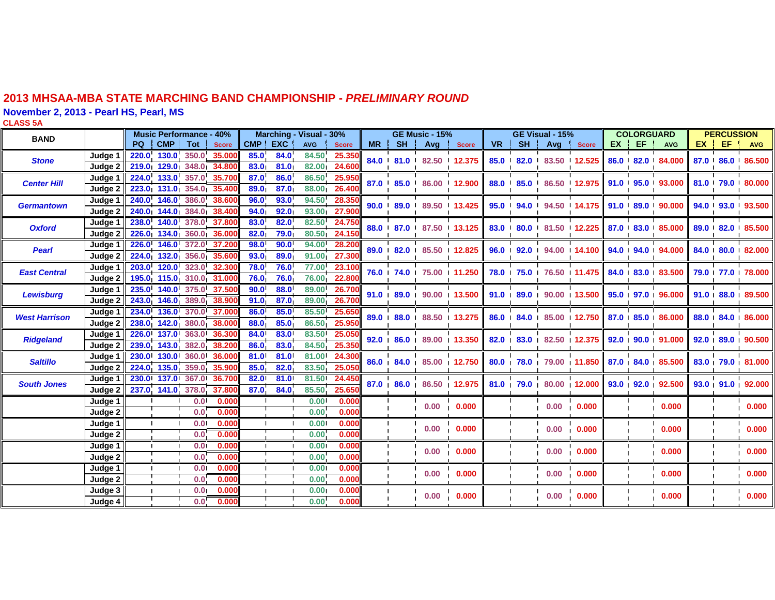## **2013 MHSAA-MBA STATE MARCHING BAND CHAMPIONSHIP -** *PRELIMINARY ROUND*

**November 2, 2013 - Pearl HS, Pearl, MS**

**CLASS 5A**

| <b>BAND</b>          |                | <b>Music Performance - 40%</b> |                  |              | Marching - Visual - 30% |      |              |              |    |    | <b>GE Music - 15%</b>                                    |                                                  |    | <b>GE Visual - 15%</b> |                                                                   |                                                                |                                                                                                 | <b>COLORGUARD</b>             |                                                       |                  | <b>PERCUSSION</b>         |                                |  |
|----------------------|----------------|--------------------------------|------------------|--------------|-------------------------|------|--------------|--------------|----|----|----------------------------------------------------------|--------------------------------------------------|----|------------------------|-------------------------------------------------------------------|----------------------------------------------------------------|-------------------------------------------------------------------------------------------------|-------------------------------|-------------------------------------------------------|------------------|---------------------------|--------------------------------|--|
|                      |                | <b>CMP</b><br><b>PQ</b>        | Tot              | <b>Score</b> | CMP EXC                 |      | <b>AVG</b>   | <b>Score</b> | MR | SH | Avg                                                      | <b>Score</b>                                     | VR | SH !                   |                                                                   | Avg Score                                                      |                                                                                                 | EX EF                         | AVG                                                   |                  | EX   EF   AVG             |                                |  |
| <b>Stone</b>         | Judge 1        | 220.0 130.0 350.0 35.000       |                  |              | 85.0                    | 84.0 | 84.50        | 25.350       |    |    | 84.0 81.0 82.50 12.375                                   |                                                  |    |                        |                                                                   | 85.0 82.0 83.50 12.525                                         |                                                                                                 |                               | 86.0 82.0 84.000                                      |                  |                           | 87.0 86.0 86.500               |  |
|                      | Judge 2        | 219.0 129.0 348.0 34.80        |                  |              | 83.0                    | 81.0 | 82.00        | 24.60        |    |    |                                                          |                                                  |    |                        |                                                                   |                                                                |                                                                                                 |                               |                                                       |                  |                           |                                |  |
| <b>Center Hill</b>   | Judge 1        | 224.0 133.0 357.0              |                  | 35.700       | 87.0                    | 86.0 | 86.50        | 25.95        |    |    | 87.0 85.0 86.00 12.900<br>$\mathbf{L}$<br>$\blacksquare$ |                                                  |    |                        |                                                                   | 88.0 85.0 86.50 12.975 91.0 95.0 93.000                        |                                                                                                 |                               |                                                       |                  |                           | 81.0 79.0 80.000               |  |
|                      | Judge 2        | 223.0 131.0 354.0              |                  | 35.400       | 89.0                    | 87.0 | 88.00        | 26.40        |    |    |                                                          |                                                  |    | $\blacksquare$         |                                                                   |                                                                |                                                                                                 |                               |                                                       |                  |                           |                                |  |
| <b>Germantown</b>    | Judge 1        | 240.0 146.0 386.0 38.600       |                  |              | 96.0                    | 93.0 | 94.50        | 28.350       |    |    |                                                          | 90.0 89.0 89.50 13.425                           |    |                        | 95.0 94.0 94.50 14.175 91.0 89.0 90.000                           |                                                                |                                                                                                 |                               |                                                       |                  | 94.0 93.0 93.500          |                                |  |
|                      | Judge 2        | 240.0 144.0 384.0 38.400       |                  |              | 94.0                    | 92.0 | 93.00        | 27.90        |    |    |                                                          |                                                  |    |                        |                                                                   |                                                                |                                                                                                 |                               |                                                       |                  |                           |                                |  |
| <b>Oxford</b>        | Judge 1        | 238.0 140.0 378.0 37.800       |                  |              | 83.0                    | 82.0 | <b>82.50</b> | 24.750       |    |    | 88.0 87.0 87.50 13.125                                   |                                                  |    |                        |                                                                   | 83.0 80.0 81.50 12.225 87.0 83.0 85.000                        |                                                                                                 |                               |                                                       |                  |                           | 89.0 82.0 85.500               |  |
|                      | Judge 2        | 226.0 134.0 360.0 36.000       |                  |              | 82.0 <sub>1</sub>       | 79.0 | 80.50        | 24.150       |    |    |                                                          |                                                  |    |                        |                                                                   |                                                                |                                                                                                 |                               |                                                       |                  |                           |                                |  |
| <b>Pearl</b>         | Judge 1        | 226.0 146.0 372.0              |                  | 37.200       | 98.0                    | 90.0 | 94.00        | 28.200       |    |    | 89.0 82.0 85.50 12.825                                   |                                                  |    |                        | $96.0 \cdot 92.0 \cdot 94.00 \cdot 14.100$                        |                                                                |                                                                                                 |                               | 94.0 94.0 94.000                                      | 84.0 80.0 82.000 |                           |                                |  |
|                      | Judge 2        | 224.0 132.0 356.0 35.600       |                  |              | 93.0                    | 89.0 | 91.00        | 27.300       |    |    |                                                          |                                                  |    |                        |                                                                   |                                                                |                                                                                                 |                               |                                                       |                  |                           |                                |  |
| <b>East Central</b>  | Judge 1        | 203.0 120.0 323.0              |                  | 32.300       | 78.0                    | 76.0 | 77.00        | 23.100       |    |    | 76.0 74.0 75.00 11.250                                   |                                                  |    |                        | 78.0 75.0 76.50 11.475 84.0 83.0 83.500                           |                                                                |                                                                                                 |                               |                                                       |                  |                           | 79.0 77.0 78.000               |  |
|                      | Judge 2        | 195.0 115.0 310.0 31.000       |                  |              | 76.0                    | 76.0 | 76.00        | 22.80        |    |    |                                                          |                                                  |    |                        |                                                                   |                                                                |                                                                                                 |                               |                                                       |                  |                           |                                |  |
| <b>Lewisburg</b>     | Judge $1$      | 235.0 140.0 375.0              |                  | 37.500       | 90.0                    | 88.0 | 89.00        | 26.700       |    |    |                                                          | 91.0 89.0 90.00 13.500                           |    |                        |                                                                   |                                                                |                                                                                                 |                               | $91.0$ $89.0$ $90.00$ $13.500$ $95.0$ $97.0$ $96.000$ |                  | 91.0 88.0 89.500          |                                |  |
|                      | Judge 2        | 243.0 146.0 389.0              |                  | 38.900       | 91.0                    | 87.0 | 89.00        | 26.70        |    |    |                                                          |                                                  |    |                        |                                                                   |                                                                |                                                                                                 |                               |                                                       |                  |                           |                                |  |
| <b>West Harrison</b> | Judge 1        | 234.0 136.0 370.0 37.000       |                  |              | 86.0                    | 85.0 | 85.50        | 25.650       |    |    |                                                          | 89.0 88.0 88.50 13.275                           |    |                        | $86.0$   $84.0$   $85.00$   $12.750$   $87.0$   $85.0$   $86.000$ |                                                                |                                                                                                 |                               |                                                       |                  |                           | 88.0 84.0 86.000               |  |
|                      | Judge 2        | 238.0 142.0 380.0 38.00        |                  |              | 88.0                    | 85.0 | 86.50        | 25.95        |    |    |                                                          |                                                  |    |                        |                                                                   |                                                                |                                                                                                 |                               |                                                       |                  |                           |                                |  |
|                      | Judge 1        | 226.0 137.0 363.0              |                  | 36.300       | 84.0                    | 83.0 | 83.50        | 25.050       |    |    |                                                          | $\blacksquare$<br>$92.0$ $86.0$ $89.00$ $13.350$ |    | $\blacksquare$         |                                                                   |                                                                | $82.0$ $\mid$ $83.0$ $\mid$ $82.50$ $\mid$ $12.375$ $\mid$ $92.0$ $\mid$ $90.0$ $\mid$ $91.000$ | $\mathbf{1}$ and $\mathbf{1}$ |                                                       |                  | $\mathbf{1}$ $\mathbf{1}$ | 92.0 89.0 90.500               |  |
| <b>Ridgeland</b>     | Judge 2        | 239.0 143.0 382.0              |                  | 38.200       | 86.0                    | 83.0 | 84.50        | 25.350       |    |    |                                                          |                                                  |    |                        |                                                                   |                                                                |                                                                                                 |                               |                                                       |                  |                           |                                |  |
| <b>Saltillo</b>      | Judge 1        | 230.0 130.0 360.0              |                  | 36.000       | 81.0                    | 81.0 | 81.00        | 24.300       |    |    | 86.0 84.0 85.00 12.750                                   |                                                  |    |                        |                                                                   | 80.0 78.0 79.00 11.850 87.0 84.0 85.500                        |                                                                                                 |                               |                                                       |                  | 83.0 79.0 81.000          |                                |  |
|                      | Judge 2        | 224.0 135.0 359.0              |                  | 35.900       | 85.0                    | 82.0 | 83.50        | 25.050       |    |    |                                                          |                                                  |    |                        |                                                                   |                                                                |                                                                                                 |                               |                                                       |                  |                           |                                |  |
| <b>South Jones</b>   | Judge 1        | 230.0 137.0 367.0 36.700       |                  |              | 82.0                    | 81.0 |              | 81.50 24.450 |    |    |                                                          |                                                  |    |                        |                                                                   | 87.0 86.0 86.50 12.975 81.0 79.0 80.00 12.000 93.0 92.0 92.500 |                                                                                                 |                               |                                                       |                  |                           | 93.0 91.0 92.000               |  |
|                      | Judge 2        | 237.0 141.0 378.0              |                  | 37.800       | 87.0                    | 84.0 | 85.50        | 25.65        |    |    |                                                          |                                                  |    |                        |                                                                   |                                                                |                                                                                                 |                               |                                                       |                  |                           |                                |  |
|                      | Judge $1$      |                                | 0.01             | 0.000        |                         |      | 0.00         | 0.000        |    |    |                                                          | 0.00 0.000                                       |    |                        |                                                                   | 0.00 0.000                                                     |                                                                                                 |                               | 0.000                                                 |                  |                           | $\overline{0.000}$             |  |
|                      | Judge $2 \mid$ |                                | 0.0              | 0.000        |                         |      | 0.00         | 0.000        |    |    |                                                          |                                                  |    |                        |                                                                   |                                                                |                                                                                                 |                               |                                                       |                  |                           |                                |  |
|                      | Judge 1        |                                | 0.01             | 0.000        |                         |      | 0.00         | 0.000        |    |    |                                                          | $\blacksquare$<br>0.00 0.000                     |    |                        |                                                                   | 0.00 0.000                                                     |                                                                                                 |                               | 0.000                                                 |                  |                           | $\mathbf{I}$<br>$\sqrt{0.000}$ |  |
|                      | Judge 2        |                                | 0.0 <sub>1</sub> | 0.000        |                         |      | 0.00         | 0.000        |    |    |                                                          |                                                  |    |                        |                                                                   |                                                                |                                                                                                 |                               |                                                       |                  |                           |                                |  |
|                      | Judge 1        | $\blacksquare$                 | $\overline{0.0}$ | 0.000        |                         |      | 0.001        | 0.000        |    |    |                                                          | $\blacksquare$<br>0.00 0.000                     |    |                        |                                                                   | 0.00 0.000                                                     |                                                                                                 |                               | 0.000                                                 |                  |                           | 0.000                          |  |
|                      | Judge 2        |                                | 0.0              | 0.000        |                         |      | 0.00         | 0.000        |    |    |                                                          |                                                  |    |                        |                                                                   |                                                                |                                                                                                 |                               |                                                       |                  |                           |                                |  |
|                      | Judge 1        |                                | 0.01             | 0.000        |                         |      | 0.00         | 0.000        |    |    |                                                          | 0.00 0.000                                       |    |                        |                                                                   | 0.00 0.000                                                     |                                                                                                 |                               | 0.000                                                 |                  |                           | 0.000                          |  |
|                      | Judge 2        |                                | 0.0              | 0.000        |                         |      | 0.00         | 0.000        |    |    |                                                          |                                                  |    |                        |                                                                   |                                                                |                                                                                                 |                               |                                                       |                  |                           |                                |  |
|                      | Judge 3        |                                | 0.01             | 0.000        |                         |      | 0.001        | 0.000        |    |    |                                                          | 0.00 0.000                                       |    |                        | 0.00 0.000                                                        |                                                                |                                                                                                 |                               | 0.000                                                 |                  |                           | 0.000                          |  |
|                      | Judge $4$      |                                | 0.0              | 0.000        |                         |      | 0.00         | 0.000        |    |    |                                                          |                                                  |    |                        |                                                                   |                                                                |                                                                                                 |                               |                                                       |                  |                           |                                |  |